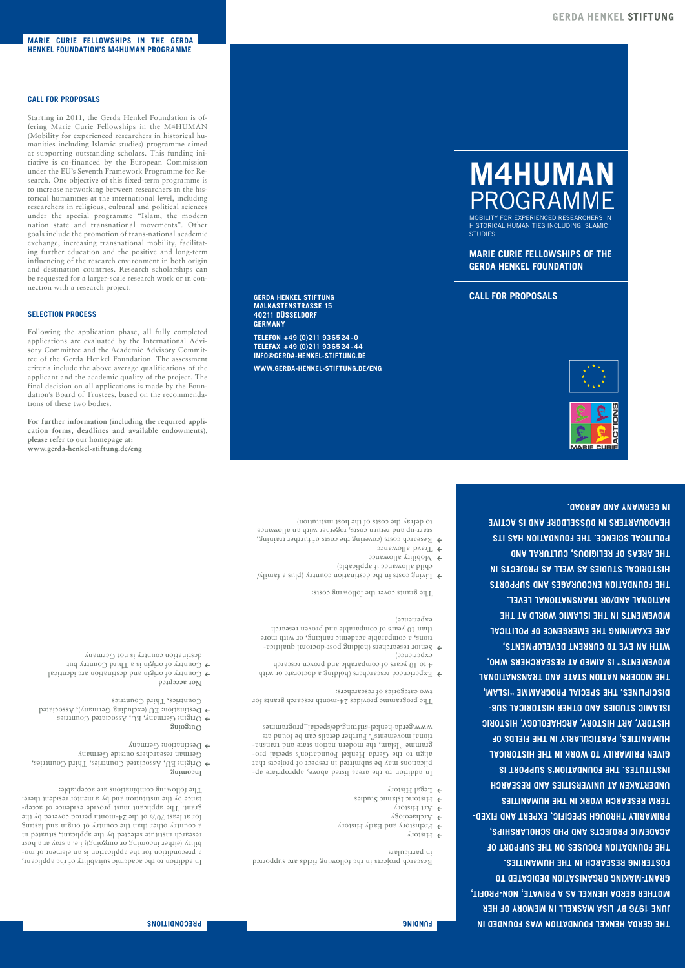**MARIE CURIE FELLOWSHIPS IN THE GERDA HENKEL FOUNDATION'S M4HUMAN PROGRAMME**

### **CALL FOR PROPOSALS**

Starting in 2011, the Gerda Henkel Foundation is offering Marie Curie Fellowships in the M4HUMAN (Mobility for experienced researchers in historical humanities including Islamic studies) programme aimed at supporting outstanding scholars. This funding initiative is co-financed by the European Commission under the EU's Seventh Framework Programme for Research. One objective of this fixed-term programme is to increase networking between researchers in the historical humanities at the international level, including researchers in religious, cultural and political sciences under the special programme "Islam, the modern nation state and transnational movements". Other goals include the promotion of trans-national academic exchange, increasing transnational mobility, facilitating further education and the positive and long-term influencing of the research environment in both origin and destination countries. Research scholarships can be requested for a larger-scale research work or in connection with a research project.

### **SELECTION PROCESS**

Following the application phase, all fully completed applications are evaluated by the International Advisory Committee and the Academic Advisory Committee of the Gerda Henkel Foundation. The assessment criteria include the above average qualifications of the applicant and the academic quality of the project. The final decision on all applications is made by the Foundation's Board of Trustees, based on the recommendations of these two bodies.

**For further information (including the required application forms, deadlines and available endowments), please refer to our homepage at: www.gerda-henkel-stiftung.de/eng**

**MALKASTENSTRASSE 15 40211 DÜSSELDORF GERMANY**

**TELEFON +49 (0)211 93 65 24 - 0 TELEFAX +49 (0)211 93 65 24 - 44 INFO@GERDA-HENKEL-STIFTUNG.DE**

**WWW.GERDA-HENKEL-STIFTUNG.DE/ENG**

## **M4HUMAN** PROGRAMME

MOBILITY FOR EXPERIENCED RESEARCHERS IN HISTORICAL HUMANITIES INCLUDING ISLAMIC **STUDIES** 

**MARIE CURIE FELLOWSHIPS OF THE GERDA HENKEL FOUNDATION**

**GERDA HENKEL STIFTUNG CALL FOR PROPOSALS**



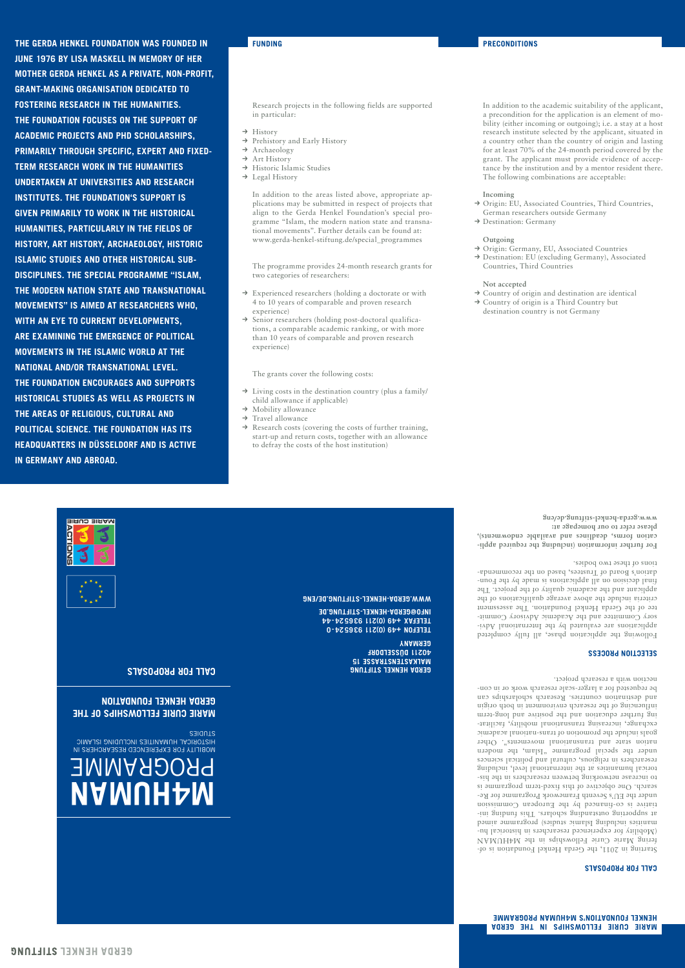**THE GERDA HENKEL FOUNDATION WAS FOUNDED IN FUNDING PRECONDITIONS JUNE 1976 BY LISA MASKELL IN MEMORY OF HER MOTHER GERDA HENKEL AS A PRIVATE, NON-PROFIT, GRANT-MAKING ORGANISATION DEDICATED TO FOSTERING RESEARCH IN THE HUMANITIES. THE FOUNDATION FOCUSES ON THE SUPPORT OF ACADEMIC PROJECTS AND PHD SCHOLARSHIPS, PRIMARILY THROUGH SPECIFIC, EXPERT AND FIXED-TERM RESEARCH WORK IN THE HUMANITIES UNDERTAKEN AT UNIVERSITIES AND RESEARCH INSTITUTES. THE FOUNDATION'S SUPPORT IS GIVEN PRIMARILY TO WORK IN THE HISTORICAL HUMANITIES, PARTICULARLY IN THE FIELDS OF HISTORY, ART HISTORY, ARCHAEOLOGY, HISTORIC ISLAMIC STUDIES AND OTHER HISTORICAL SUB-DISCIPLINES. THE SPECIAL PROGRAMME "ISLAM, THE MODERN NATION STATE AND TRANSNATIONAL MOVEMENTS" IS AIMED AT RESEARCHERS WHO, WITH AN EYE TO CURRENT DEVELOPMENTS, ARE EXAMINING THE EMERGENCE OF POLITICAL MOVEMENTS IN THE ISLAMIC WORLD AT THE NATIONAL AND/OR TRANSNATIONAL LEVEL. THE FOUNDATION ENCOURAGES AND SUPPORTS HISTORICAL STUDIES AS WELL AS PROJECTS IN THE AREAS OF RELIGIOUS, CULTURAL AND POLITICAL SCIENCE. THE FOUNDATION HAS ITS HEADQUARTERS IN DÜSSELDORF AND IS ACTIVE IN GERMANY AND ABROAD.** 

Research projects in the following fields are supported in particular:

- $\rightarrow$  History
- → Prehistory and Early History
- → Archaeology
- $\rightarrow$  Art History
- → Historic Islamic Studies
- → Legal History

In addition to the areas listed above, appropriate applications may be submitted in respect of projects that align to the Gerda Henkel Foundation's special programme "Islam, the modern nation state and transnational movements". Further details can be found at: www.gerda-henkel-stiftung.de/special\_programmes

The programme provides 24-month research grants for two categories of researchers:

- → Experienced researchers (holding a doctorate or with 4 to 10 years of comparable and proven research experience)
- → Senior researchers (holding post-doctoral qualifications, a comparable academic ranking, or with more than 10 years of comparable and proven research experience)

The grants cover the following costs:

- $\rightarrow$  Living costs in the destination country (plus a family/ child allowance if applicable)
- → Mobility allowance
- $\rightarrow$  Travel allowance
- $\rightarrow$  Research costs (covering the costs of further training, start-up and return costs, together with an allowance to defray the costs of the host institution)

In addition to the academic suitability of the applicant, a precondition for the application is an element of mobility (either incoming or outgoing); i.e. a stay at a host research institute selected by the applicant, situated in a country other than the country of origin and lasting for at least 70% of the 24-month period covered by the grant. The applicant must provide evidence of acceptance by the institution and by a mentor resident there. The following combinations are acceptable:

### **Incoming**

- → Origin: EU, Associated Countries, Third Countries, German researchers outside Germany
- → Destination: Germany

### **Outgoing**

- → Origin: Germany, EU, Associated Countries
- → Destination: EU (excluding Germany), Associated Countries, Third Countries

### **Not accepted**

- → Country of origin and destination are identical
- → Country of origin is a Third Country but destination country is not Germany